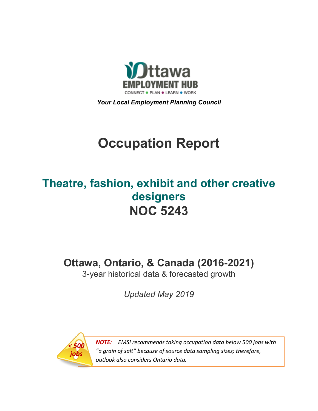

*Your Local Employment Planning Council*

# **Occupation Report**

# **Theatre, fashion, exhibit and other creative designers NOC 5243**

**Ottawa, Ontario, & Canada (2016-2021)**

3-year historical data & forecasted growth

*Updated May 2019*



*NOTE: EMSI recommends taking occupation data below 500 jobs with "a grain of salt" because of source data sampling sizes; therefore, outlook also considers Ontario data.*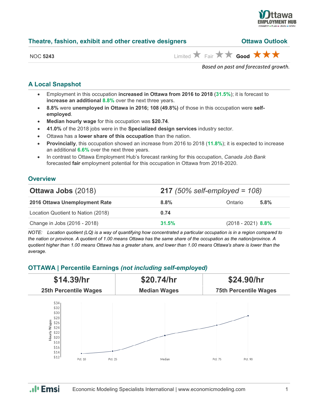

| NOC <b>5243</b> | Limited $\bigstar$ Fair $\bigstar \bigstar$ Good $\bigstar \bigstar \bigstar$ |
|-----------------|-------------------------------------------------------------------------------|
|                 | -                                                                             |

**Theatre, fashion, exhibit and other creative designers Ottawa Outlook**

#### *Based on past and forecasted growth.*

### **A Local Snapshot**

- Employment in this occupation **increased in Ottawa from 2016 to 2018** (**31.5%**); it is forecast to **increase an additional 8.8%** over the next three years.
- **8.8%** were **unemployed in Ottawa in 2016; 108 (49.8%)** of those in this occupation were **selfemployed**.
- **Median hourly wage** for this occupation was **\$20.74**.
- **41.0%** of the 2018 jobs were in the **Specialized design services** industry sector.
- Ottawa has a **lower share of this occupation** than the nation.
- **Provincially**, this occupation showed an increase from 2016 to 2018 (**11.8%**); it is expected to increase an additional **6.6%** over the next three years.
- In contrast to Ottawa Employment Hub's forecast ranking for this occupation, *Canada Job Bank*  forecasted **fair** employment potential for this occupation in Ottawa from 2018-2020.

#### **Overview**

| <b>Ottawa Jobs (2018)</b>          | <b>217</b> (50% self-employed = $108$ ) |                      |      |  |
|------------------------------------|-----------------------------------------|----------------------|------|--|
| 2016 Ottawa Unemployment Rate      | 8.8%                                    | Ontario              | 5.8% |  |
| Location Quotient to Nation (2018) | 0.74                                    |                      |      |  |
| Change in Jobs (2016 - 2018)       | 31.5%                                   | $(2018 - 2021)$ 8.8% |      |  |

*NOTE: Location quotient (LQ) is a way of quantifying how concentrated a particular occupation is in a region compared to the nation or province. A quotient of 1.00 means Ottawa has the same share of the occupation as the nation/province. A quotient higher than 1.00 means Ottawa has a greater share, and lower than 1.00 means Ottawa's share is lower than the average.*

#### **OTTAWA | Percentile Earnings** *(not including self-employed)*



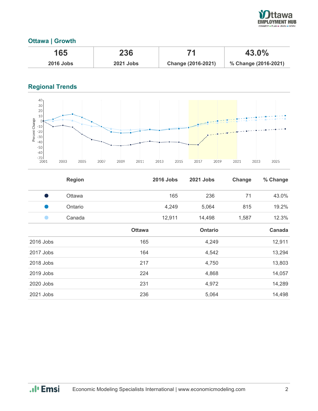

# **Ottawa | Growth**

| 165              | 236              |                    | 43.0%                |  |
|------------------|------------------|--------------------|----------------------|--|
| <b>2016 Jobs</b> | <b>2021 Jobs</b> | Change (2016-2021) | % Change (2016-2021) |  |

# **Regional Trends**



|           | <b>Region</b> |               | <b>2016 Jobs</b> | <b>2021 Jobs</b> | Change | % Change      |
|-----------|---------------|---------------|------------------|------------------|--------|---------------|
| Ð         | Ottawa        |               | 165              | 236              | 71     | 43.0%         |
|           | Ontario       |               | 4,249            | 5,064            | 815    | 19.2%         |
|           | Canada        |               | 12,911           | 14,498           | 1,587  | 12.3%         |
|           |               | <b>Ottawa</b> |                  | <b>Ontario</b>   |        | <b>Canada</b> |
| 2016 Jobs |               | 165           |                  | 4,249            |        | 12,911        |
| 2017 Jobs |               | 164           |                  | 4,542            |        | 13,294        |
| 2018 Jobs |               | 217           |                  | 4,750            |        | 13,803        |
| 2019 Jobs |               | 224           |                  | 4,868            |        | 14,057        |
| 2020 Jobs |               | 231           |                  | 4,972            |        | 14,289        |
| 2021 Jobs |               | 236           |                  | 5,064            |        | 14,498        |

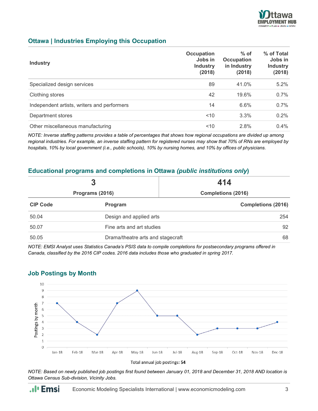

## **Ottawa | Industries Employing this Occupation**

| <b>Industry</b>                             | <b>Occupation</b><br>Jobs in<br><b>Industry</b><br>(2018) | $%$ of<br><b>Occupation</b><br>in Industry<br>(2018) | % of Total<br>Jobs in<br><b>Industry</b><br>(2018) |
|---------------------------------------------|-----------------------------------------------------------|------------------------------------------------------|----------------------------------------------------|
| Specialized design services                 | 89                                                        | 41.0%                                                | 5.2%                                               |
| Clothing stores                             | 42                                                        | 19.6%                                                | 0.7%                                               |
| Independent artists, writers and performers | 14                                                        | 6.6%                                                 | 0.7%                                               |
| Department stores                           | ~10                                                       | 3.3%                                                 | 0.2%                                               |
| Other miscellaneous manufacturing           | 10                                                        | 2.8%                                                 | $0.4\%$                                            |

*NOTE: Inverse staffing patterns provides a table of percentages that shows how regional occupations are divided up among regional industries. For example, an inverse staffing pattern for registered nurses may show that 70% of RNs are employed by hospitals, 10% by local government (i.e., public schools), 10% by nursing homes, and 10% by offices of physicians.*

#### **Educational programs and completions in Ottawa** *(public institutions only***)**

| 3<br>Programs (2016) |                                   | 414                       |  |
|----------------------|-----------------------------------|---------------------------|--|
|                      |                                   | <b>Completions (2016)</b> |  |
| <b>CIP Code</b>      | Program                           | <b>Completions (2016)</b> |  |
| 50.04                | Design and applied arts           | 254                       |  |
| 50.07                | Fine arts and art studies         | 92                        |  |
| 50.05                | Drama/theatre arts and stagecraft | 68                        |  |

*NOTE: EMSI Analyst uses Statistics Canada's PSIS data to compile completions for postsecondary programs offered in Canada, classified by the 2016 CIP codes. 2016 data includes those who graduated in spring 2017.*



# **Job Postings by Month**

*NOTE: Based on newly published job postings first found between January 01, 2018 and December 31, 2018 AND location is Ottawa Census Sub-division, Vicinity Jobs.*